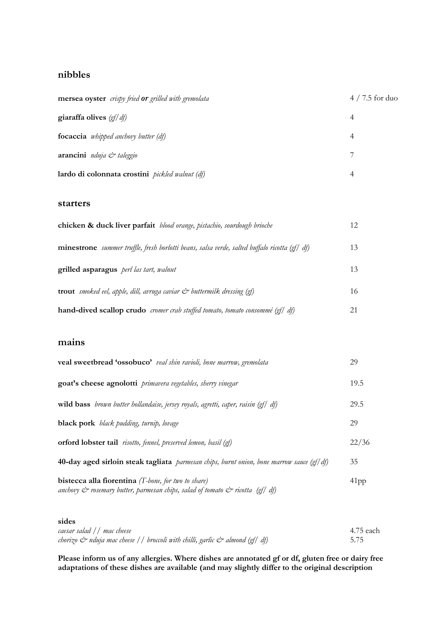### **nibbles**

| mersea oyster crispy fried or grilled with gremolata   | $4/7.5$ for duo |
|--------------------------------------------------------|-----------------|
| giaraffa olives $\left(\frac{gf}{df}\right)$           | 4               |
| <b>focaccia</b> <i>whipped anchovy butter</i> (df)     | 4               |
| arancini nduja & taleggio                              |                 |
| lardo di colonnata crostini <i>pickled walnut</i> (df) | 4               |

#### **starters**

| chicken & duck liver parfait blood orange, pistachio, sourdough brioche                                                             | 12 |
|-------------------------------------------------------------------------------------------------------------------------------------|----|
| <b>minestrone</b> <i>summer truffle</i> , <i>fresh borlotti beans</i> , <i>salsa verde</i> , <i>salted buffalo ricotta</i> (gf/ df) | 13 |
| grilled asparagus <i>perl las tart, walnut</i>                                                                                      | 13 |
| <b>trout</b> smoked eel, apple, dill, avruga caviar $\mathcal{C}^*$ buttermilk dressing (gf)                                        | 16 |
| hand-dived scallop crudo cromer crab stuffed tomato, tomato consommé (gf/ df)                                                       | 21 |

## **mains**

| veal sweetbread 'ossobuco' veal shin ravioli, bone marrow, gremolata                                                                                                               | 29      |
|------------------------------------------------------------------------------------------------------------------------------------------------------------------------------------|---------|
| goat's cheese agnolotti primavera vegetables, sherry vinegar                                                                                                                       | 19.5    |
| wild bass brown butter hollandaise, jersey royals, agretti, caper, raisin (gf/ df)                                                                                                 | 29.5    |
| black pork black pudding, turnip, lovage                                                                                                                                           | 29      |
| <b>orford lobster tail</b> <i>risotto, fennel, preserved lemon, basil</i> (gf)                                                                                                     | 22/36   |
| 40-day aged sirloin steak tagliata <i>parmesan chips</i> , burnt onion, bone marrow sauce (gf/df)                                                                                  | 35      |
| <b>bistecca alla fiorentina</b> $(T$ -bone, for two to share)<br>anchovy $\dot{\mathcal{C}}$ rosemary butter, parmesan chips, salad of tomato $\dot{\mathcal{C}}$ ricotta (gf) df) | $41$ pp |

#### **sides**

| caesar salad / / mac cheese                                                 | 4.75 each |
|-----------------------------------------------------------------------------|-----------|
| chorizo & nduja mac cheese // broccoli with chilli, garlic & almond (gf/df) | 5.75      |

**Please inform us of any allergies. Where dishes are annotated gf or df, gluten free or dairy free adaptations of these dishes are available (and may slightly differ to the original description**